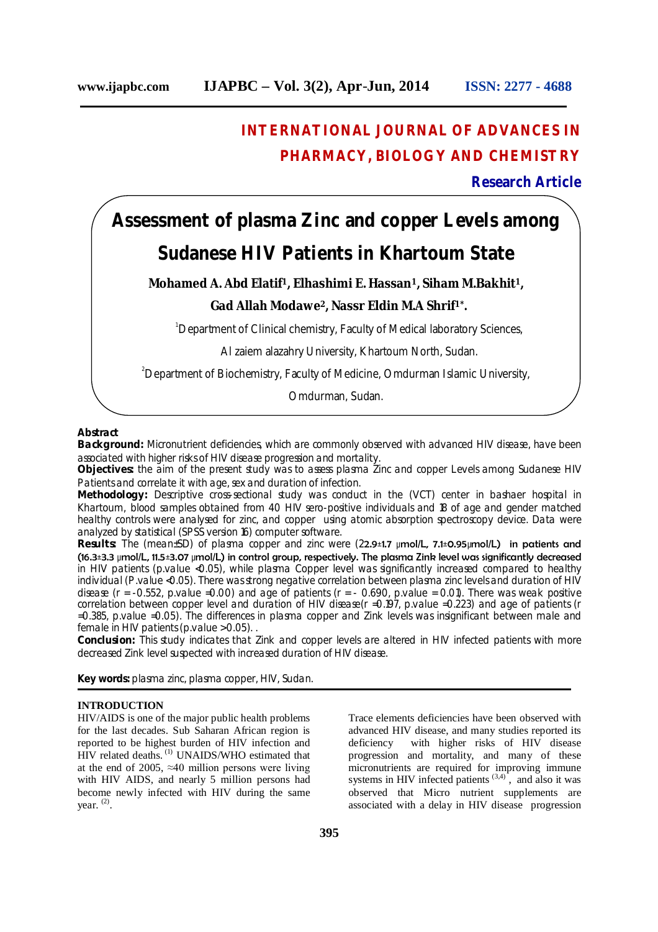# **INTERNATIONAL JOURNAL OF ADVANCES IN PHARMACY, BIOLOGY AND CHEMISTRY**

# **Research Article**

# **Assessment of plasma Zinc and copper Levels among Sudanese HIV Patients in Khartoum State**

### **Mohamed A. Abd Elatif1, Elhashimi E. Hassan1, Siham M.Bakhit1,**

## **Gad Allah Modawe<sup>2</sup>, Nassr Eldin M.A Shrif1\* .**

<sup>1</sup>Department of Clinical chemistry, Faculty of Medical laboratory Sciences,

Al zaiem alazahry University, Khartoum North, Sudan.

<sup>2</sup> Department of Biochemistry, Faculty of Medicine, Omdurman Islamic University,

Omdurman, Sudan.

#### **Abstract**

**Background:** Micronutrient deficiencies, which are commonly observed with advanced HIV disease, have been associated with higher risks of HIV disease progression and mortality.

**Objectives:** the aim of the present study was to assess plasma Zinc and copper Levels among Sudanese HIV Patients and correlate it with age, sex and duration of infection.

**Methodology:** Descriptive cross-sectional study was conduct in the (VCT) center in bashaer hospital in Khartoum, blood samples obtained from 40 HIV sero-positive individuals and 18 of age and gender matched healthy controls were analysed for zinc, and copper using atomic absorption spectroscopy device. Data were analyzed by statistical (SPSS version 16) computer software.

**Results:** The (mean±SD) of plasma copper and zinc were (22.9±1.7 μmol/L, 7.1±0.95μmol/L) in patients and (16.3±3.3 μmol/L, 11.5±3.07 μmol/L) in control group, respectively. The plasma Zink level was significantly decreased in HIV patients (p.value <0.05), while plasma Copper level was significantly increased compared to healthy individual (P.value <0.05). There was strong negative correlation between plasma zinc levels and duration of HIV disease ( $r = -0.552$ , p.value =0.00) and age of patients ( $r = -0.690$ , p.value = 0.01). There was weak positive correlation between copper level and duration of HIV disease(r =0.197, p.value =0.223) and age of patients (r =0.385, p.value =0.05). The differences in plasma copper and Zink levels was insignificant between male and female in HIV patients (p.value > 0.05). .

**Conclusion:** This study indicates that Zink and copper levels are altered in HIV infected patients with more decreased Zink level suspected with increased duration of HIV disease.

**Key words:** plasma zinc, plasma copper, HIV, Sudan.

#### **INTRODUCTION**

HIV/AIDS is one of the major public health problems for the last decades. Sub Saharan African region is reported to be highest burden of HIV infection and HIV related deaths.<sup>(1)</sup> UNAIDS/WHO estimated that at the end of 2005,  $\approx 40$  million persons were living with HIV AIDS, and nearly 5 million persons had become newly infected with HIV during the same year.<sup>(2)</sup>.

Trace elements deficiencies have been observed with advanced HIV disease, and many studies reported its deficiency with higher risks of HIV disease progression and mortality, and many of these micronutrients are required for improving immune systems in HIV infected patients  $(3,4)$ , and also it was observed that Micro nutrient supplements are associated with a delay in HIV disease progression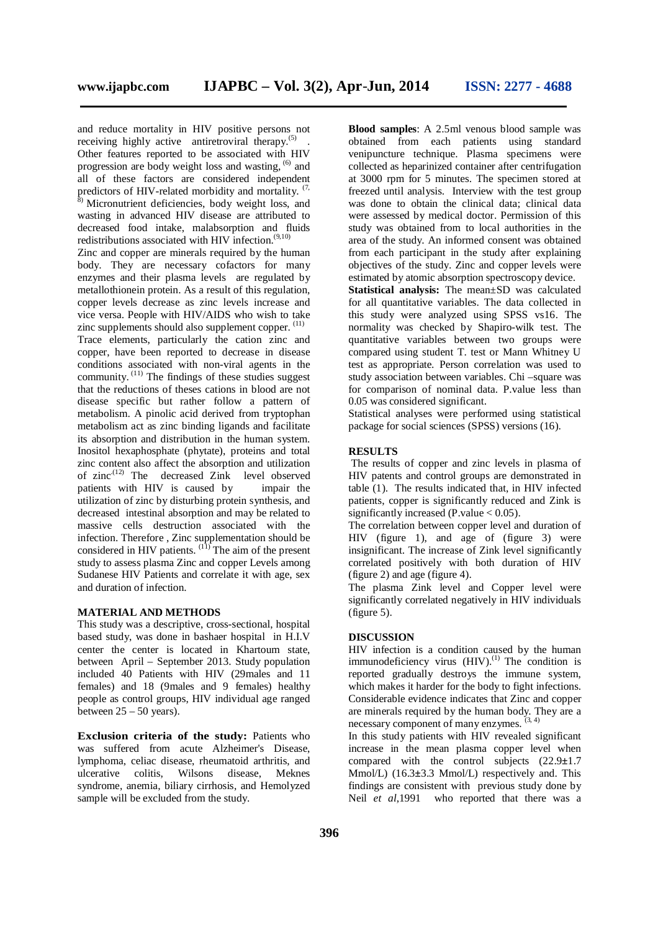and reduce mortality in HIV positive persons not receiving highly active antiretroviral therapy.<sup>(5)</sup>. Other features reported to be associated with HIV progression are body weight loss and wasting, <sup>(6)</sup> and all of these factors are considered independent predictors of HIV-related morbidity and mortality.  $(7, 7)$ 

<sup>8)</sup> Micronutrient deficiencies, body weight loss, and wasting in advanced HIV disease are attributed to decreased food intake, malabsorption and fluids redistributions associated with HIV infection. $(9,10)$ 

Zinc and copper are minerals required by the human body. They are necessary cofactors for many enzymes and their plasma levels are regulated by metallothionein protein. As a result of this regulation, copper levels decrease as zinc levels increase and vice versa. People with HIV/AIDS who wish to take zinc supplements should also supplement copper.  $(11)$ 

Trace elements, particularly the cation zinc and copper, have been reported to decrease in disease conditions associated with non-viral agents in the community.  $(11)$  The findings of these studies suggest that the reductions of theses cations in blood are not disease specific but rather follow a pattern of metabolism. A pinolic acid derived from tryptophan metabolism act as zinc binding ligands and facilitate its absorption and distribution in the human system. Inositol hexaphosphate (phytate), proteins and total zinc content also affect the absorption and utilization of zinc.<sup>(12)</sup> The decreased Zink level observed patients with HIV is caused by impair the utilization of zinc by disturbing protein synthesis, and decreased intestinal absorption and may be related to massive cells destruction associated with the infection. Therefore , Zinc supplementation should be considered in HIV patients. (11) The aim of the present study to assess plasma Zinc and copper Levels among Sudanese HIV Patients and correlate it with age, sex and duration of infection.

#### **MATERIAL AND METHODS**

This study was a descriptive, cross-sectional, hospital based study, was done in bashaer hospital in H.I.V center the center is located in Khartoum state, between April – September 2013. Study population included 40 Patients with HIV (29males and 11 females) and 18 (9males and 9 females) healthy people as control groups, HIV individual age ranged between  $25 - 50$  years).

**Exclusion criteria of the study:** Patients who was suffered from acute Alzheimer's Disease, lymphoma, celiac disease, rheumatoid arthritis, and ulcerative colitis, Wilsons disease, Meknes syndrome, anemia, biliary cirrhosis, and Hemolyzed sample will be excluded from the study.

**Blood samples**: A 2.5ml venous blood sample was obtained from each patients using standard venipuncture technique. Plasma specimens were collected as heparinized container after centrifugation at 3000 rpm for 5 minutes. The specimen stored at freezed until analysis. Interview with the test group was done to obtain the clinical data; clinical data were assessed by medical doctor. Permission of this study was obtained from to local authorities in the area of the study. An informed consent was obtained from each participant in the study after explaining objectives of the study. Zinc and copper levels were estimated by atomic absorption spectroscopy device.

**Statistical analysis:** The mean±SD was calculated for all quantitative variables. The data collected in this study were analyzed using SPSS vs16. The normality was checked by Shapiro-wilk test. The quantitative variables between two groups were compared using student T. test or Mann Whitney U test as appropriate. Person correlation was used to study association between variables. Chi –square was for comparison of nominal data. P.value less than 0.05 was considered significant.

Statistical analyses were performed using statistical package for social sciences (SPSS) versions (16).

#### **RESULTS**

The results of copper and zinc levels in plasma of HIV patents and control groups are demonstrated in table (1). The results indicated that, in HIV infected patients, copper is significantly reduced and Zink is significantly increased (P.value  $< 0.05$ ).

The correlation between copper level and duration of HIV (figure 1), and age of (figure 3) were insignificant. The increase of Zink level significantly correlated positively with both duration of HIV (figure 2) and age (figure 4).

The plasma Zink level and Copper level were significantly correlated negatively in HIV individuals (figure 5).

#### **DISCUSSION**

HIV infection is a condition caused by the human immunodeficiency virus  $(HIV)$ .<sup>(1)</sup> The condition is reported gradually destroys the immune system, which makes it harder for the body to fight infections. Considerable evidence indicates that Zinc and copper are minerals required by the human body. They are a necessary component of many enzymes.  $(3, 4)$ 

In this study patients with HIV revealed significant increase in the mean plasma copper level when compared with the control subjects (22.9**±**1.7 Mmol/L) (16.3**±**3.3 Mmol/L) respectively and. This findings are consistent with previous study done by Neil *et al*,1991 who reported that there was a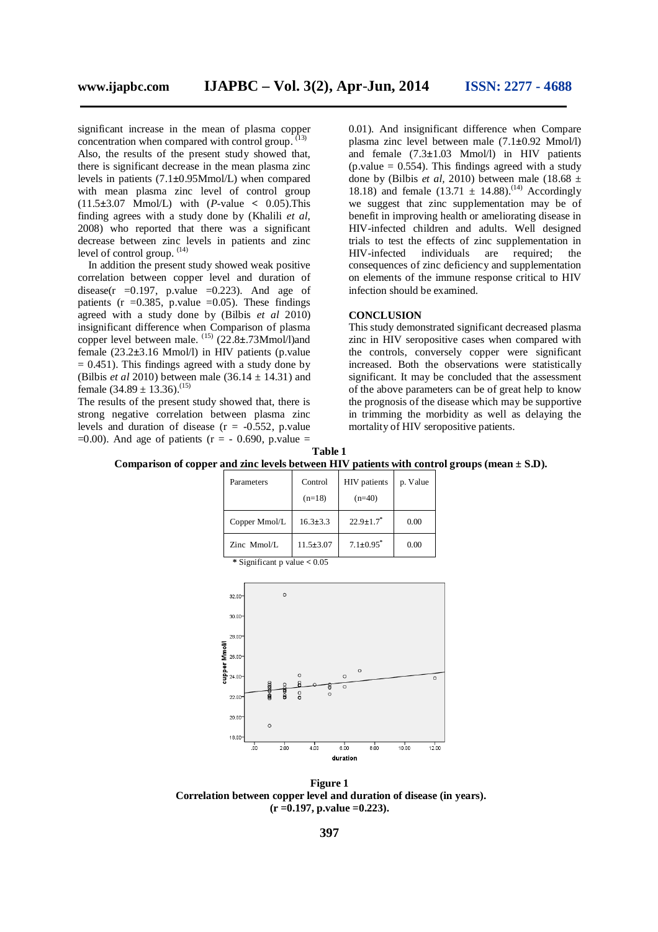significant increase in the mean of plasma copper concentration when compared with control group. Also, the results of the present study showed that, there is significant decrease in the mean plasma zinc levels in patients (7.1**±**0.95Mmol/L) when compared with mean plasma zinc level of control group (11.5**±**3.07 Mmol/L) with (*P*-value **<** 0.05).This finding agrees with a study done by (Khalili *et al*, 2008) who reported that there was a significant decrease between zinc levels in patients and zinc level of control group.  $(14)$ 

In addition the present study showed weak positive correlation between copper level and duration of disease(r =  $0.197$ , p.value =  $0.223$ ). And age of patients ( $r = 0.385$ , p.value = 0.05). These findings agreed with a study done by (Bilbis *et al* 2010) insignificant difference when Comparison of plasma copper level between male. (15) (22.8**±**.73Mmol/l)and female (23.2**±**3.16 Mmol/l) in HIV patients (p.value  $= 0.451$ ). This findings agreed with a study done by (Bilbis *et al* 2010) between male  $(36.14 \pm 14.31)$  and female  $(34.89 \pm 13.36)$ .<sup>(15)</sup>

The results of the present study showed that, there is strong negative correlation between plasma zinc levels and duration of disease  $(r = -0.552, p.value)$  $=0.00$ ). And age of patients (r = - 0.690, p.value =

0.01). And insignificant difference when Compare plasma zinc level between male (7.1**±**0.92 Mmol/l) and female (7.3**±**1.03 Mmol/l) in HIV patients  $(p.value = 0.554)$ . This findings agreed with a study done by (Bilbis *et al*, 2010) between male (18.68  $\pm$ 18.18) and female  $(13.71 \pm 14.88)^{14}$  Accordingly we suggest that zinc supplementation may be of benefit in improving health or ameliorating disease in HIV-infected children and adults. Well designed trials to test the effects of zinc supplementation in HIV-infected individuals are required; the consequences of zinc deficiency and supplementation on elements of the immune response critical to HIV infection should be examined.

#### **CONCLUSION**

This study demonstrated significant decreased plasma zinc in HIV seropositive cases when compared with the controls, conversely copper were significant increased. Both the observations were statistically significant. It may be concluded that the assessment of the above parameters can be of great help to know the prognosis of the disease which may be supportive in trimming the morbidity as well as delaying the mortality of HIV seropositive patients.



| Parameters                     | Control<br>$(n=18)$ | <b>HIV</b> patients<br>$(n=40)$ | p. Value |
|--------------------------------|---------------------|---------------------------------|----------|
| Copper Mmol/L                  | $16.3 \pm 3.3$      | $22.9 \pm 1.7$                  | 0.00     |
| $Zinc$ Mmol/L                  | $11.5 \pm 3.07$     | $7.1 \pm 0.95$ <sup>*</sup>     | 0.00     |
| * Significant p value $< 0.05$ |                     |                                 |          |



**Figure 1 Correlation between copper level and duration of disease (in years). (r =0.197, p.value =0.223).**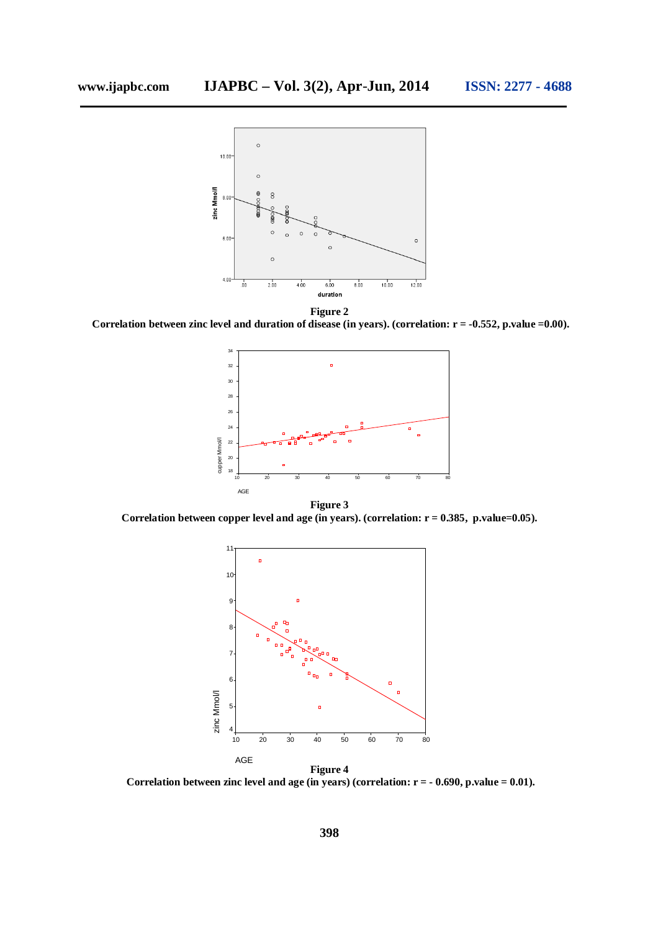

**Figure 2**

**Correlation between zinc level and duration of disease (in years). (correlation: r = -0.552, p.value =0.00).**



**Correlation between copper level and age (in years). (correlation: r = 0.385, p.value=0.05).**



**Correlation between zinc level and age (in years) (correlation: r = - 0.690, p.value = 0.01).**